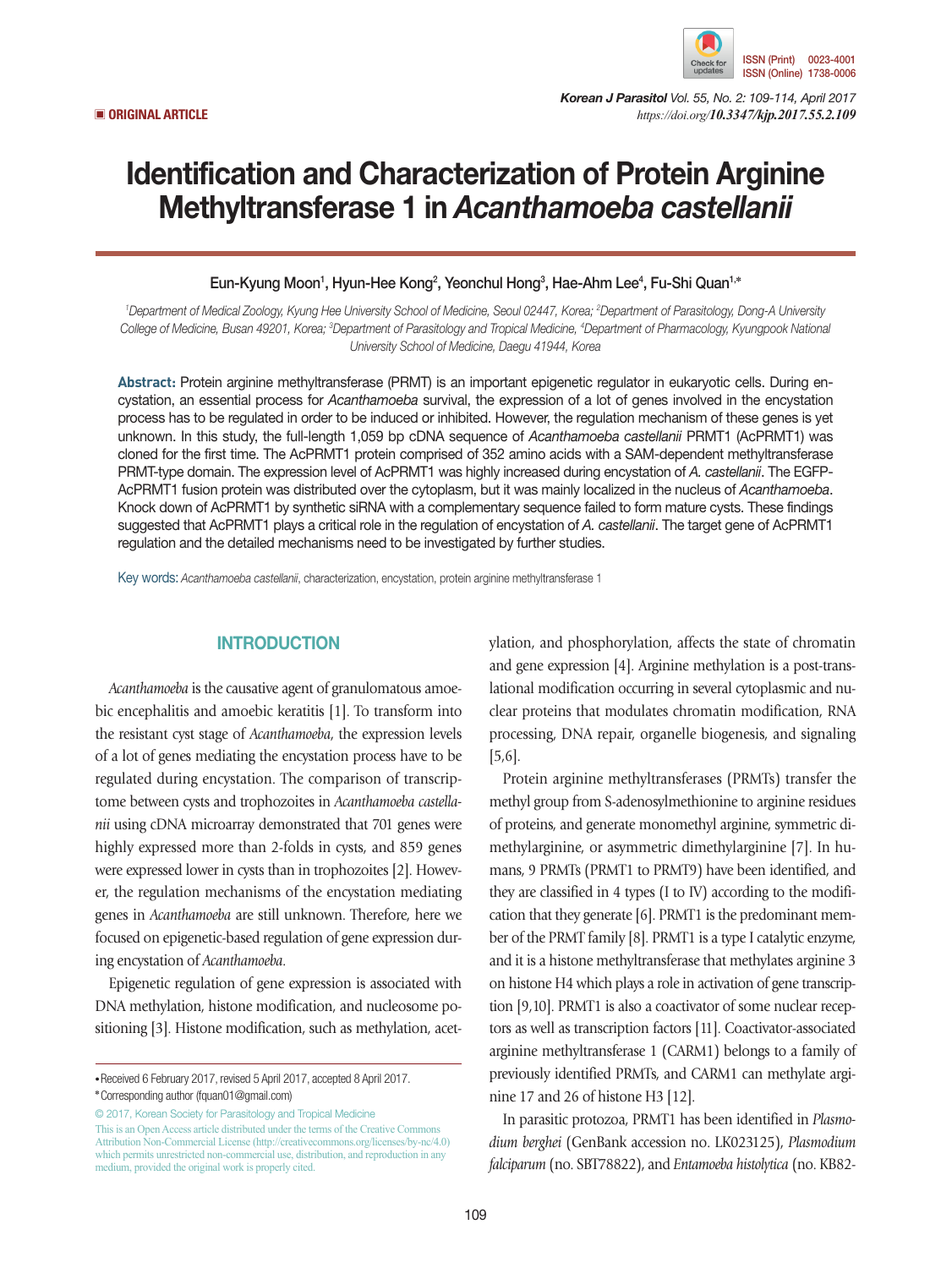

*Korean J Parasitol Vol. 55, No. 2: 109-114, April 2017* ▣ **ORIGINAL ARTICLE** *https://doi.org/10.3347/kjp.2017.55.2.109*

# Identification and Characterization of Protein Arginine Methyltransferase 1 in *Acanthamoeba castellanii*

Eun-Kyung Moon<sup>1</sup>, Hyun-Hee Kong<sup>2</sup>, Yeonchul Hong<sup>3</sup>, Hae-Ahm Lee<sup>4</sup>, Fu-Shi Quan<sup>1,</sup>\*

*1 Department of Medical Zoology, Kyung Hee University School of Medicine, Seoul 02447, Korea; 2 Department of Parasitology, Dong-A University College of Medicine, Busan 49201, Korea; 3 Department of Parasitology and Tropical Medicine, 4 Department of Pharmacology, Kyungpook National University School of Medicine, Daegu 41944, Korea*

**Abstract:** Protein arginine methyltransferase (PRMT) is an important epigenetic regulator in eukaryotic cells. During encystation, an essential process for *Acanthamoeba* survival, the expression of a lot of genes involved in the encystation process has to be regulated in order to be induced or inhibited. However, the regulation mechanism of these genes is yet unknown. In this study, the full-length 1,059 bp cDNA sequence of *Acanthamoeba castellanii* PRMT1 (AcPRMT1) was cloned for the first time. The AcPRMT1 protein comprised of 352 amino acids with a SAM-dependent methyltransferase PRMT-type domain. The expression level of AcPRMT1 was highly increased during encystation of *A. castellanii*. The EGFP-AcPRMT1 fusion protein was distributed over the cytoplasm, but it was mainly localized in the nucleus of *Acanthamoeba*. Knock down of AcPRMT1 by synthetic siRNA with a complementary sequence failed to form mature cysts. These findings suggested that AcPRMT1 plays a critical role in the regulation of encystation of *A. castellanii*. The target gene of AcPRMT1 regulation and the detailed mechanisms need to be investigated by further studies.

Key words: *Acanthamoeba castellanii*, characterization, encystation, protein arginine methyltransferase 1

## **INTRODUCTION**

*Acanthamoeba* is the causative agent of granulomatous amoebic encephalitis and amoebic keratitis [1]. To transform into the resistant cyst stage of *Acanthamoeba*, the expression levels of a lot of genes mediating the encystation process have to be regulated during encystation. The comparison of transcriptome between cysts and trophozoites in *Acanthamoeba castellanii* using cDNA microarray demonstrated that 701 genes were highly expressed more than 2-folds in cysts, and 859 genes were expressed lower in cysts than in trophozoites [2]. However, the regulation mechanisms of the encystation mediating genes in *Acanthamoeba* are still unknown. Therefore, here we focused on epigenetic-based regulation of gene expression during encystation of *Acanthamoeba*.

Epigenetic regulation of gene expression is associated with DNA methylation, histone modification, and nucleosome positioning [3]. Histone modification, such as methylation, acet-

© 2017, Korean Society for Parasitology and Tropical Medicine This is an Open Access article distributed under the terms of the Creative Commons Attribution Non-Commercial License (http://creativecommons.org/licenses/by-nc/4.0) which permits unrestricted non-commercial use, distribution, and reproduction in any medium, provided the original work is properly cited.

ylation, and phosphorylation, affects the state of chromatin and gene expression [4]. Arginine methylation is a post-translational modification occurring in several cytoplasmic and nuclear proteins that modulates chromatin modification, RNA processing, DNA repair, organelle biogenesis, and signaling [5,6].

Protein arginine methyltransferases (PRMTs) transfer the methyl group from S-adenosylmethionine to arginine residues of proteins, and generate monomethyl arginine, symmetric dimethylarginine, or asymmetric dimethylarginine [7]. In humans, 9 PRMTs (PRMT1 to PRMT9) have been identified, and they are classified in 4 types (I to IV) according to the modification that they generate [6]. PRMT1 is the predominant member of the PRMT family [8]. PRMT1 is a type I catalytic enzyme, and it is a histone methyltransferase that methylates arginine 3 on histone H4 which plays a role in activation of gene transcription [9,10]. PRMT1 is also a coactivator of some nuclear receptors as well as transcription factors [11]. Coactivator-associated arginine methyltransferase 1 (CARM1) belongs to a family of previously identified PRMTs, and CARM1 can methylate arginine 17 and 26 of histone H3 [12].

In parasitic protozoa, PRMT1 has been identified in *Plasmodium berghei* (GenBank accession no. LK023125), *Plasmodium falciparum* (no. SBT78822), and *Entamoeba histolytica* (no. KB82-

**<sup>•</sup>**Received 6 February 2017, revised 5 April 2017, accepted 8 April 2017.

**<sup>\*</sup>**Corresponding author (fquan01@gmail.com)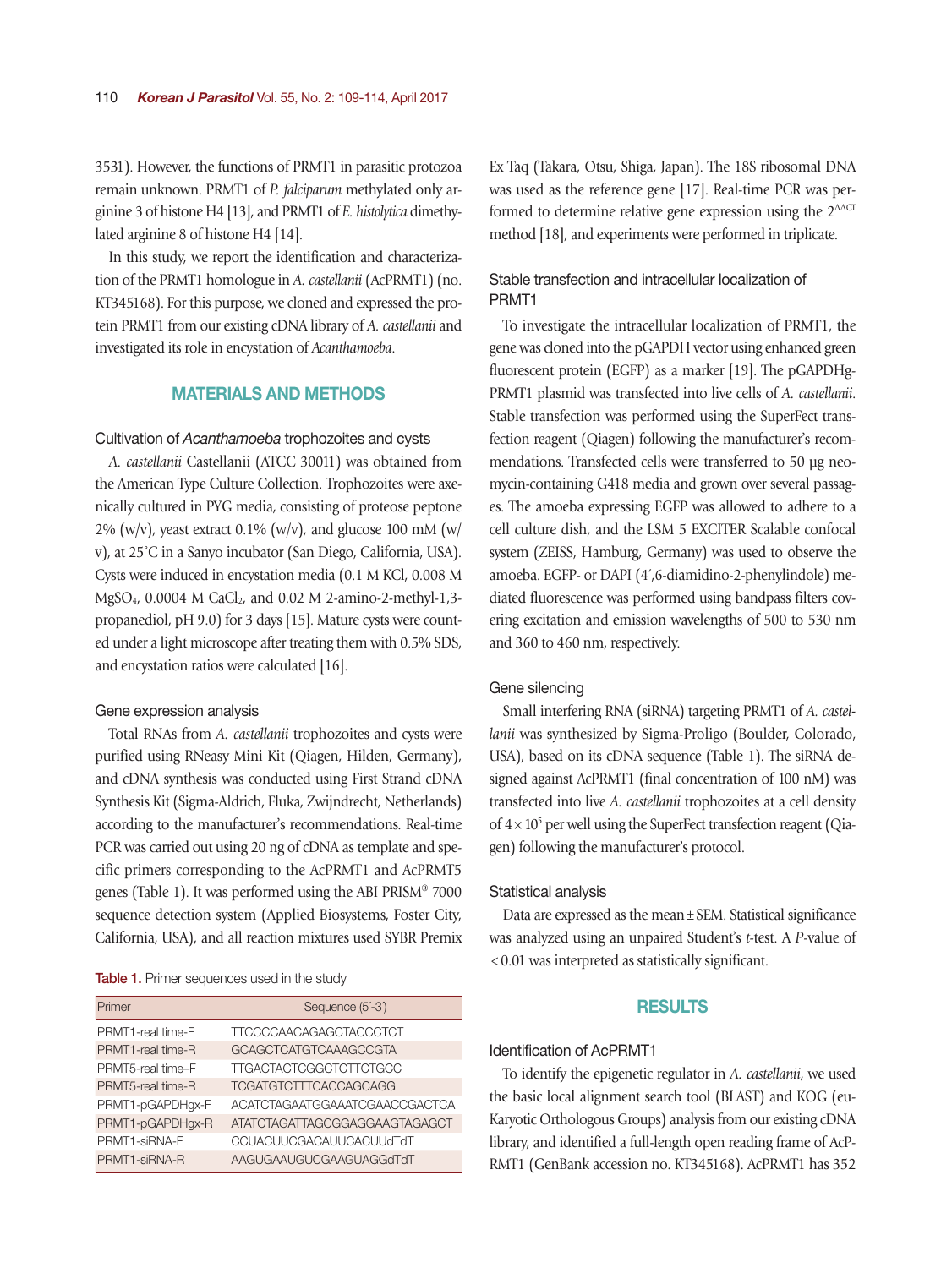3531). However, the functions of PRMT1 in parasitic protozoa remain unknown. PRMT1 of *P. falciparum* methylated only arginine 3 of histone H4 [13], and PRMT1 of *E. histolytica* dimethylated arginine 8 of histone H4 [14].

In this study, we report the identification and characterization of the PRMT1 homologue in *A. castellanii* (AcPRMT1) (no. KT345168). For this purpose, we cloned and expressed the protein PRMT1 from our existing cDNA library of *A. castellanii* and investigated its role in encystation of *Acanthamoeba*.

## MATERIALS AND METHODS

#### Cultivation of *Acanthamoeba* trophozoites and cysts

*A. castellanii* Castellanii (ATCC 30011) was obtained from the American Type Culture Collection. Trophozoites were axenically cultured in PYG media, consisting of proteose peptone  $2\%$  (w/v), yeast extract 0.1% (w/v), and glucose 100 mM (w/ v), at 25˚C in a Sanyo incubator (San Diego, California, USA). Cysts were induced in encystation media (0.1 M KCl, 0.008 M MgSO<sub>4</sub>, 0.0004 M CaCl<sub>2</sub>, and 0.02 M 2-amino-2-methyl-1,3propanediol, pH 9.0) for 3 days [15]. Mature cysts were counted under a light microscope after treating them with 0.5% SDS, and encystation ratios were calculated [16].

#### Gene expression analysis

Total RNAs from *A. castellanii* trophozoites and cysts were purified using RNeasy Mini Kit (Qiagen, Hilden, Germany), and cDNA synthesis was conducted using First Strand cDNA Synthesis Kit (Sigma-Aldrich, Fluka, Zwijndrecht, Netherlands) according to the manufacturer's recommendations. Real-time PCR was carried out using 20 ng of cDNA as template and specific primers corresponding to the AcPRMT1 and AcPRMT5 genes (Table 1). It was performed using the ABI PRISM**®** 7000 sequence detection system (Applied Biosystems, Foster City, California, USA), and all reaction mixtures used SYBR Premix

Table 1. Primer sequences used in the study

| Primer            | Sequence (5'-3')              |
|-------------------|-------------------------------|
| PRMT1-real time-F | TTCCCCAACAGAGCTACCCTCT        |
| PRMT1-real time-R | <b>GCAGCTCATGTCAAAGCCGTA</b>  |
| PRMT5-real time-F | <b>TTGACTACTCGGCTCTTCTGCC</b> |
| PRMT5-real time-R | <b>TCGATGTCTTTCACCAGCAGG</b>  |
| PRMT1-pGAPDHgx-F  | ACATCTAGAATGGAAATCGAACCGACTCA |
| PRMT1-pGAPDHgx-R  | ATATCTAGATTAGCGGAGGAAGTAGAGCT |
| PRMT1-siRNA-F     | CCUACUUCGACAUUCACUUdTdT       |
| PRMT1-siRNA-R     | AAGUGAAUGUCGAAGUAGGdTdT       |

Ex Taq (Takara, Otsu, Shiga, Japan). The 18S ribosomal DNA was used as the reference gene [17]. Real-time PCR was performed to determine relative gene expression using the  $2^{\Delta\Delta CT}$ method [18], and experiments were performed in triplicate.

## Stable transfection and intracellular localization of PRMT1

To investigate the intracellular localization of PRMT1, the gene was cloned into the pGAPDH vector using enhanced green fluorescent protein (EGFP) as a marker [19]. The pGAPDHg-PRMT1 plasmid was transfected into live cells of *A. castellanii*. Stable transfection was performed using the SuperFect transfection reagent (Qiagen) following the manufacturer's recommendations. Transfected cells were transferred to 50 μg neomycin-containing G418 media and grown over several passages. The amoeba expressing EGFP was allowed to adhere to a cell culture dish, and the LSM 5 EXCITER Scalable confocal system (ZEISS, Hamburg, Germany) was used to observe the amoeba. EGFP- or DAPI (4´,6-diamidino-2-phenylindole) mediated fluorescence was performed using bandpass filters covering excitation and emission wavelengths of 500 to 530 nm and 360 to 460 nm, respectively.

#### Gene silencing

Small interfering RNA (siRNA) targeting PRMT1 of *A. castellanii* was synthesized by Sigma-Proligo (Boulder, Colorado, USA), based on its cDNA sequence (Table 1). The siRNA designed against AcPRMT1 (final concentration of 100 nM) was transfected into live *A. castellanii* trophozoites at a cell density of  $4 \times 10^5$  per well using the SuperFect transfection reagent (Qiagen) following the manufacturer's protocol.

#### Statistical analysis

Data are expressed as the mean±SEM. Statistical significance was analyzed using an unpaired Student's *t*-test. A *P*-value of <0.01 was interpreted as statistically significant.

#### RESULTS

#### Identification of AcPRMT1

To identify the epigenetic regulator in *A. castellanii*, we used the basic local alignment search tool (BLAST) and KOG (eu-Karyotic Orthologous Groups) analysis from our existing cDNA library, and identified a full-length open reading frame of AcP-RMT1 (GenBank accession no. KT345168). AcPRMT1 has 352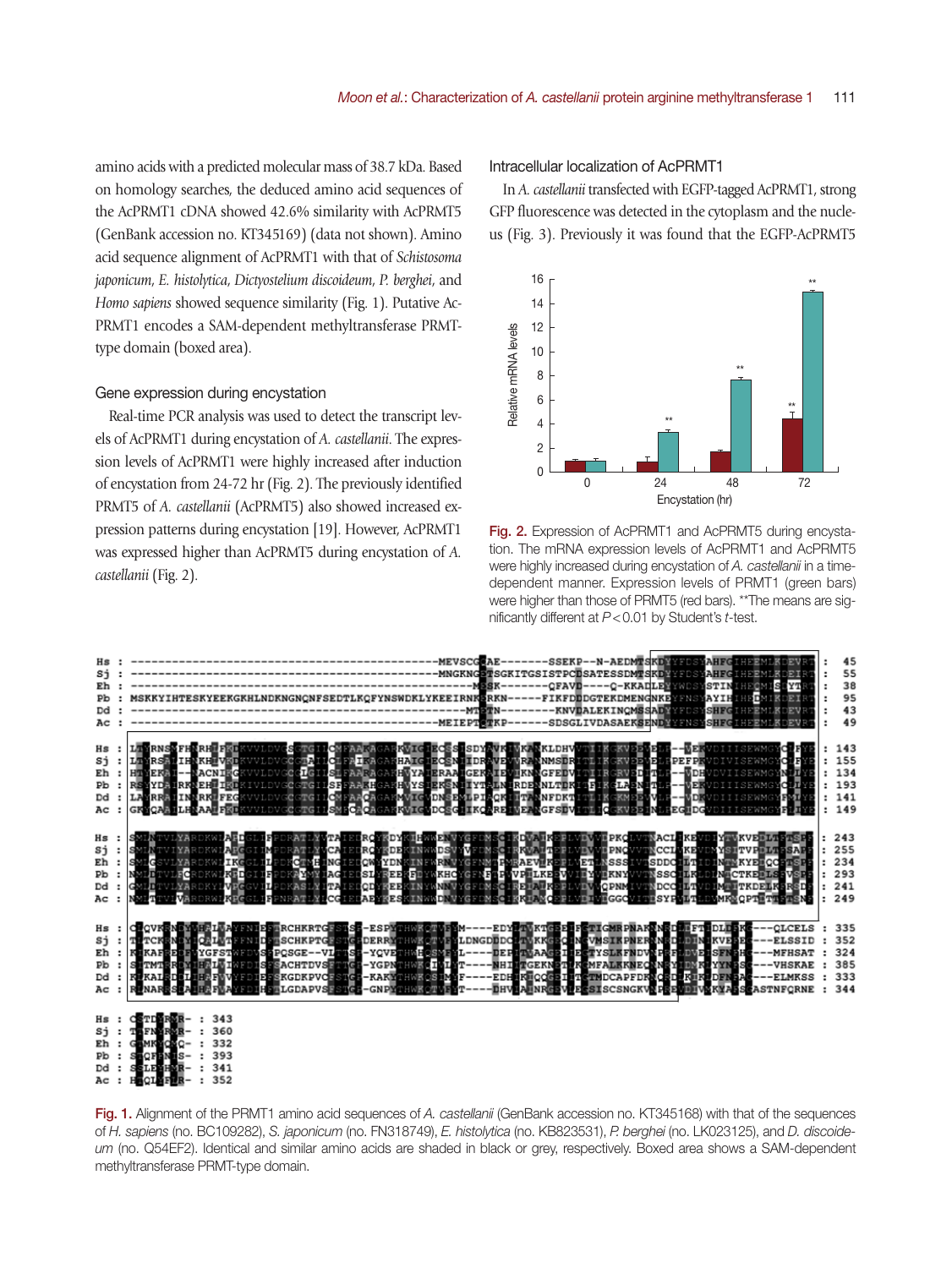amino acids with a predicted molecular mass of 38.7 kDa. Based on homology searches, the deduced amino acid sequences of the AcPRMT1 cDNA showed 42.6% similarity with AcPRMT5 (GenBank accession no. KT345169) (data not shown). Amino acid sequence alignment of AcPRMT1 with that of *Schistosoma japonicum*, *E. histolytica*, *Dictyostelium discoideum*, *P. berghei*, and *Homo sapiens* showed sequence similarity (Fig. 1). Putative Ac-PRMT1 encodes a SAM-dependent methyltransferase PRMTtype domain (boxed area).

#### Gene expression during encystation

Real-time PCR analysis was used to detect the transcript levels of AcPRMT1 during encystation of *A. castellanii*. The expression levels of AcPRMT1 were highly increased after induction of encystation from 24-72 hr (Fig. 2). The previously identified PRMT5 of *A. castellanii* (AcPRMT5) also showed increased expression patterns during encystation [19]. However, AcPRMT1 was expressed higher than AcPRMT5 during encystation of *A. castellanii* (Fig. 2).

Intracellular localization of AcPRMT1

In *A. castellanii* transfected with EGFP-tagged AcPRMT1, strong GFP fluorescence was detected in the cytoplasm and the nucleus (Fig. 3). Previously it was found that the EGFP-AcPRMT5



Fig. 2. Expression of AcPRMT1 and AcPRMT5 during encystation. The mRNA expression levels of AcPRMT1 and AcPRMT5 were highly increased during encystation of *A. castellanii* in a timedependent manner. Expression levels of PRMT1 (green bars) were higher than those of PRMT5 (red bars). \*\*The means are significantly different at *P*<0.01 by Student's *t*-test.



Dd 341  $AC$ 352

Fig. 1. Alignment of the PRMT1 amino acid sequences of *A. castellanii* (GenBank accession no. KT345168) with that of the sequences of *H. sapiens* (no. BC109282), *S. japonicum* (no. FN318749), *E. histolytica* (no. KB823531), *P. berghei* (no. LK023125), and *D. discoideum* (no. Q54EF2). Identical and similar amino acids are shaded in black or grey, respectively. Boxed area shows a SAM-dependent methyltransferase PRMT-type domain.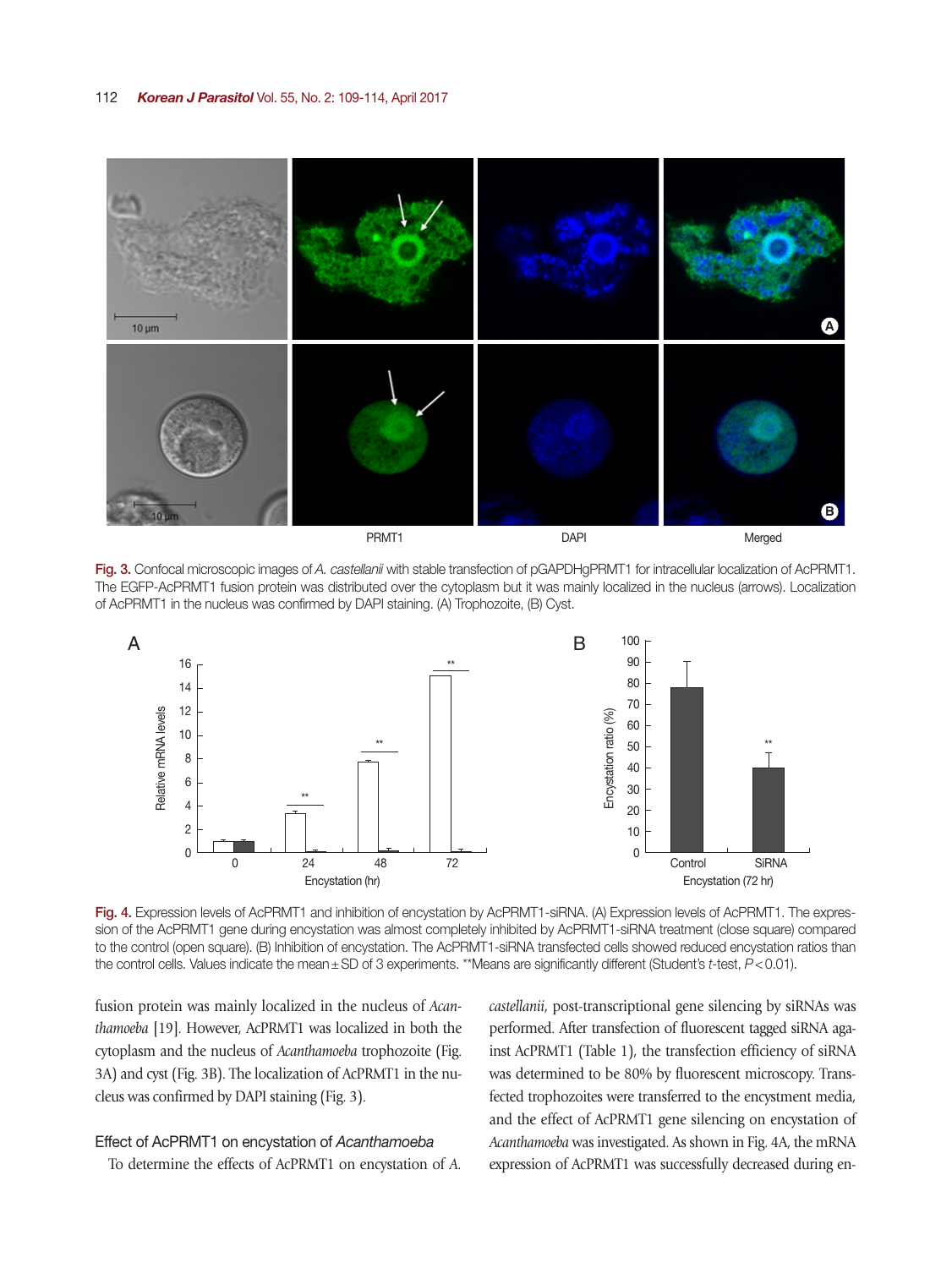#### 112 *Korean J Parasitol* Vol. 55, No. 2: 109-114, April 2017



Fig. 3. Confocal microscopic images of *A. castellanii* with stable transfection of pGAPDHgPRMT1 for intracellular localization of AcPRMT1. The EGFP-AcPRMT1 fusion protein was distributed over the cytoplasm but it was mainly localized in the nucleus (arrows). Localization of AcPRMT1 in the nucleus was confirmed by DAPI staining. (A) Trophozoite, (B) Cyst.



Fig. 4. Expression levels of AcPRMT1 and inhibition of encystation by AcPRMT1-siRNA. (A) Expression levels of AcPRMT1. The expression of the AcPRMT1 gene during encystation was almost completely inhibited by AcPRMT1-siRNA treatment (close square) compared to the control (open square). (B) Inhibition of encystation. The AcPRMT1-siRNA transfected cells showed reduced encystation ratios than the control cells. Values indicate the mean±SD of 3 experiments. \*\*Means are significantly different (Student's *t*-test, *P*<0.01).

fusion protein was mainly localized in the nucleus of *Acanthamoeba* [19]. However, AcPRMT1 was localized in both the cytoplasm and the nucleus of *Acanthamoeba* trophozoite (Fig. 3A) and cyst (Fig. 3B). The localization of AcPRMT1 in the nucleus was confirmed by DAPI staining (Fig. 3).

## Effect of AcPRMT1 on encystation of *Acanthamoeba*

To determine the effects of AcPRMT1 on encystation of *A.* 

*castellanii*, post-transcriptional gene silencing by siRNAs was performed. After transfection of fluorescent tagged siRNA against AcPRMT1 (Table 1), the transfection efficiency of siRNA was determined to be 80% by fluorescent microscopy. Transfected trophozoites were transferred to the encystment media, and the effect of AcPRMT1 gene silencing on encystation of *Acanthamoeba* was investigated. As shown in Fig. 4A, the mRNA expression of AcPRMT1 was successfully decreased during en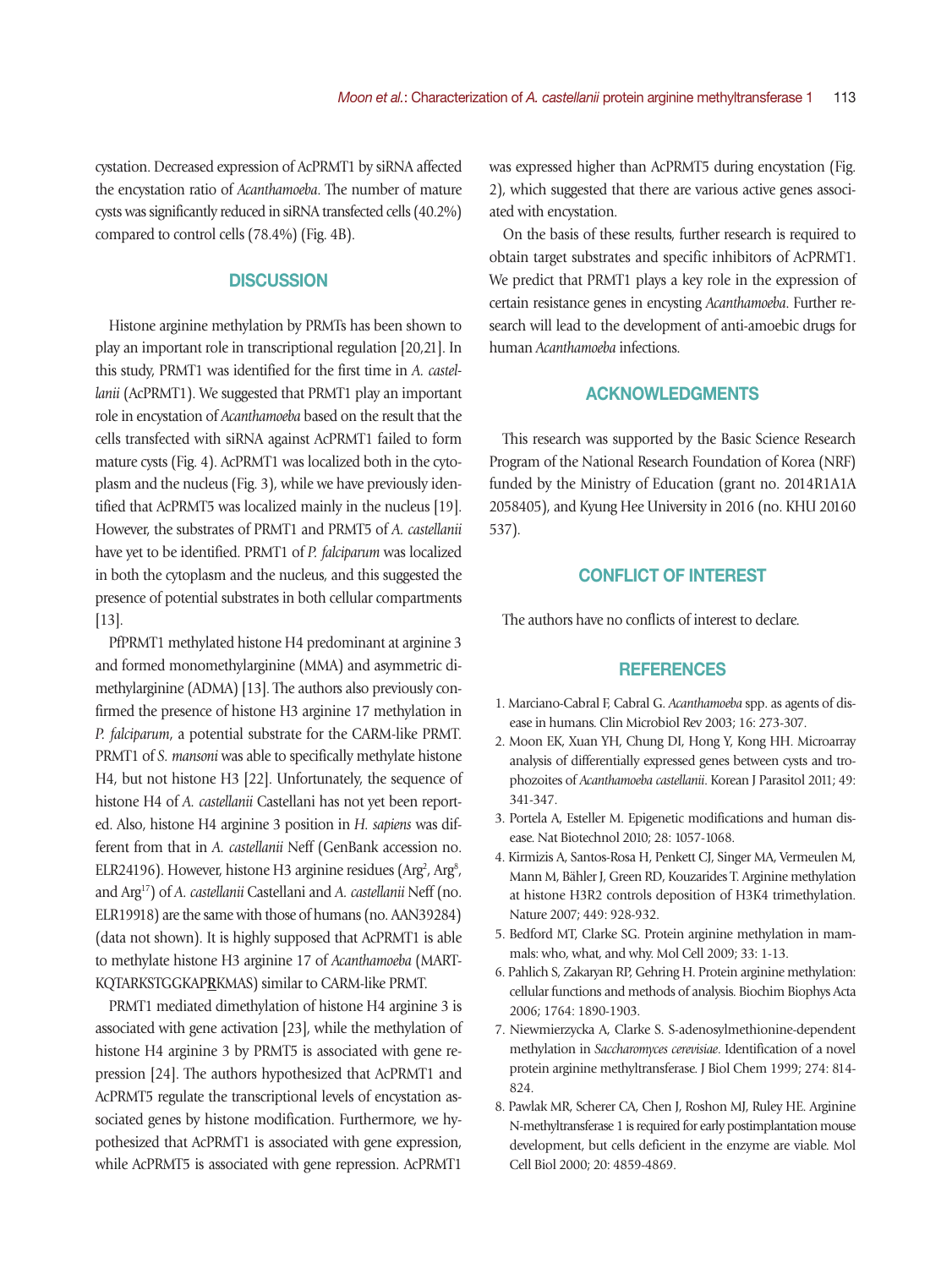cystation. Decreased expression of AcPRMT1 by siRNA affected the encystation ratio of *Acanthamoeba*. The number of mature cysts was significantly reduced in siRNA transfected cells (40.2%) compared to control cells (78.4%) (Fig. 4B).

## **DISCUSSION**

Histone arginine methylation by PRMTs has been shown to play an important role in transcriptional regulation [20,21]. In this study, PRMT1 was identified for the first time in *A. castellanii* (AcPRMT1). We suggested that PRMT1 play an important role in encystation of *Acanthamoeba* based on the result that the cells transfected with siRNA against AcPRMT1 failed to form mature cysts (Fig. 4). AcPRMT1 was localized both in the cytoplasm and the nucleus (Fig. 3), while we have previously identified that AcPRMT5 was localized mainly in the nucleus [19]. However, the substrates of PRMT1 and PRMT5 of *A. castellanii* have yet to be identified. PRMT1 of *P. falciparum* was localized in both the cytoplasm and the nucleus, and this suggested the presence of potential substrates in both cellular compartments [13].

PfPRMT1 methylated histone H4 predominant at arginine 3 and formed monomethylarginine (MMA) and asymmetric dimethylarginine (ADMA) [13]. The authors also previously confirmed the presence of histone H3 arginine 17 methylation in *P. falciparum*, a potential substrate for the CARM-like PRMT. PRMT1 of *S. mansoni* was able to specifically methylate histone H4, but not histone H3 [22]. Unfortunately, the sequence of histone H4 of *A. castellanii* Castellani has not yet been reported. Also, histone H4 arginine 3 position in *H. sapiens* was different from that in *A. castellanii* Neff (GenBank accession no. ELR24196). However, histone H3 arginine residues ( $\text{Arg}^2$ ,  $\text{Arg}^8$ , and Arg17) of *A. castellanii* Castellani and *A. castellanii* Neff (no. ELR19918) are the same with those of humans (no. AAN39284) (data not shown). It is highly supposed that AcPRMT1 is able to methylate histone H3 arginine 17 of *Acanthamoeba* (MART-KQTARKSTGGKAP**R**KMAS) similar to CARM-like PRMT.

PRMT1 mediated dimethylation of histone H4 arginine 3 is associated with gene activation [23], while the methylation of histone H4 arginine 3 by PRMT5 is associated with gene repression [24]. The authors hypothesized that AcPRMT1 and AcPRMT5 regulate the transcriptional levels of encystation associated genes by histone modification. Furthermore, we hypothesized that AcPRMT1 is associated with gene expression, while AcPRMT5 is associated with gene repression. AcPRMT1

was expressed higher than AcPRMT5 during encystation (Fig. 2), which suggested that there are various active genes associated with encystation.

On the basis of these results, further research is required to obtain target substrates and specific inhibitors of AcPRMT1. We predict that PRMT1 plays a key role in the expression of certain resistance genes in encysting *Acanthamoeba*. Further research will lead to the development of anti-amoebic drugs for human *Acanthamoeba* infections.

## ACKNOWLEDGMENTS

This research was supported by the Basic Science Research Program of the National Research Foundation of Korea (NRF) funded by the Ministry of Education (grant no. 2014R1A1A 2058405), and Kyung Hee University in 2016 (no. KHU 20160 537).

## CONFLICT OF INTEREST

The authors have no conflicts of interest to declare.

## **REFERENCES**

- 1. Marciano-Cabral F, Cabral G. *Acanthamoeba* spp. as agents of disease in humans. Clin Microbiol Rev 2003; 16: 273-307.
- 2. Moon EK, Xuan YH, Chung DI, Hong Y, Kong HH. Microarray analysis of differentially expressed genes between cysts and trophozoites of *Acanthamoeba castellanii*. Korean J Parasitol 2011; 49: 341-347.
- 3. Portela A, Esteller M. Epigenetic modifications and human disease. Nat Biotechnol 2010; 28: 1057-1068.
- 4. Kirmizis A, Santos-Rosa H, Penkett CJ, Singer MA, Vermeulen M, Mann M, Bähler J, Green RD, Kouzarides T. Arginine methylation at histone H3R2 controls deposition of H3K4 trimethylation. Nature 2007; 449: 928-932.
- 5. Bedford MT, Clarke SG. Protein arginine methylation in mammals: who, what, and why. Mol Cell 2009; 33: 1-13.
- 6. Pahlich S, Zakaryan RP, Gehring H. Protein arginine methylation: cellular functions and methods of analysis. Biochim Biophys Acta 2006; 1764: 1890-1903.
- 7. Niewmierzycka A, Clarke S. S-adenosylmethionine-dependent methylation in *Saccharomyces cerevisiae*. Identification of a novel protein arginine methyltransferase. J Biol Chem 1999; 274: 814- 824.
- 8. Pawlak MR, Scherer CA, Chen J, Roshon MJ, Ruley HE. Arginine N-methyltransferase 1 is required for early postimplantation mouse development, but cells deficient in the enzyme are viable. Mol Cell Biol 2000; 20: 4859-4869.